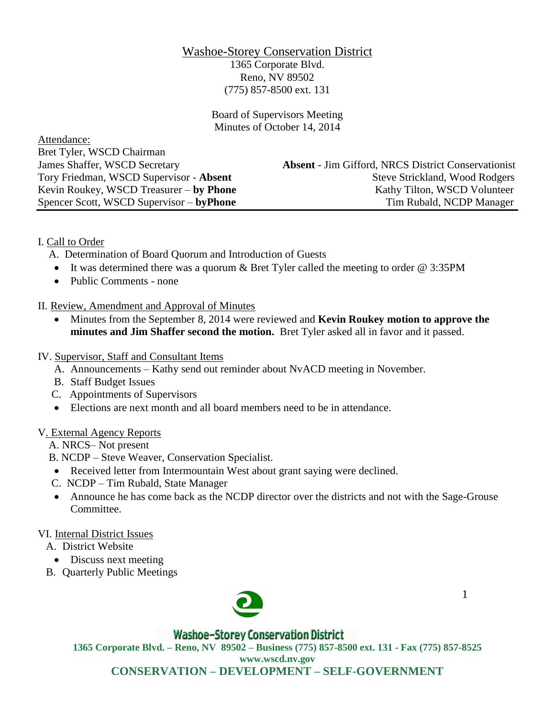Washoe-Storey Conservation District

1365 Corporate Blvd. Reno, NV 89502 (775) 857-8500 ext. 131

Board of Supervisors Meeting Minutes of October 14, 2014

| Attendance:                               |                                                            |
|-------------------------------------------|------------------------------------------------------------|
| Bret Tyler, WSCD Chairman                 |                                                            |
| James Shaffer, WSCD Secretary             | <b>Absent</b> - Jim Gifford, NRCS District Conservationist |
| Tory Friedman, WSCD Supervisor - Absent   | Steve Strickland, Wood Rodgers                             |
| Kevin Roukey, WSCD Treasurer – by Phone   | Kathy Tilton, WSCD Volunteer                               |
| Spencer Scott, WSCD Supervisor – by Phone | Tim Rubald, NCDP Manager                                   |

I. Call to Order

A. Determination of Board Quorum and Introduction of Guests

- It was determined there was a quorum & Bret Tyler called the meeting to order @ 3:35PM
- Public Comments none

II. Review, Amendment and Approval of Minutes

- Minutes from the September 8, 2014 were reviewed and **Kevin Roukey motion to approve the minutes and Jim Shaffer second the motion.** Bret Tyler asked all in favor and it passed.
- IV. Supervisor, Staff and Consultant Items
	- A. Announcements Kathy send out reminder about NvACD meeting in November.
	- B. Staff Budget Issues
	- C. Appointments of Supervisors
	- Elections are next month and all board members need to be in attendance.

#### V. External Agency Reports

A. NRCS– Not present

- B. NCDP Steve Weaver, Conservation Specialist.
- Received letter from Intermountain West about grant saying were declined.
- C. NCDP Tim Rubald, State Manager
- Announce he has come back as the NCDP director over the districts and not with the Sage-Grouse Committee.

## VI. Internal District Issues

- A. District Website
	- Discuss next meeting
- B. Quarterly Public Meetings



# **Washoe-Storey Conservation District**

**1365 Corporate Blvd. – Reno, NV 89502 – Business (775) 857-8500 ext. 131 - Fax (775) 857-8525** 

1

**www.wscd.nv.gov**

**CONSERVATION – DEVELOPMENT – SELF-GOVERNMENT**